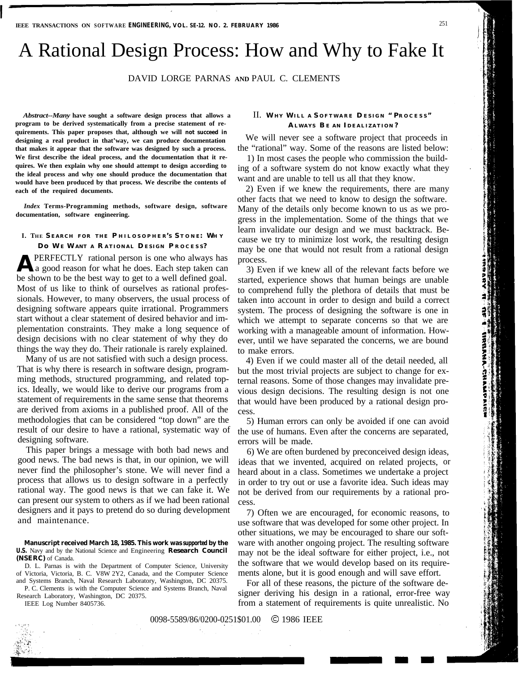# A Rational Design Process: How and Why to Fake It

DAVID LORGE PARNAS **AND** PAUL C. CLEMENTS

*Abstract--Many* **have sought a software design process that allows a program to be derived systematically from a precise statement of requirements. This paper proposes that, although we will not succeed in designing a real product in that'way, we can produce documentation that makes it appear that the software was designed by such a process. We first describe the ideal process, and the documentation that it requires. We then explain why one should attempt to design according to the ideal process and why one should produce the documentation that would have been produced by that process. We describe the contents of each of the required documents.**

*Index* **Terms-Programming methods, software design, software documentation, software engineering.**

# **I. THE S EARCH FOR THE P HILOSOPHE R'S S TON E: WH Y Do W E W ANT A R ATIONA L D ESIGN P ROCES S?**

**A** PERFECTLY rational person is one who always has a good reason for what he does. Each step taken can be shown to be the best way to get to a well defined goal. Most of us like to think of ourselves as rational professionals. However, to many observers, the usual process of designing software appears quite irrational. Programmers start without a clear statement of desired behavior and implementation constraints. They make a long sequence of design decisions with no clear statement of why they do things the way they do. Their rationale is rarely explained.

Many of us are not satisfied with such a design process. That is why there is research in software design, programming methods, structured programming, and related topics. Ideally, we would like to derive our programs from a statement of requirements in the same sense that theorems are derived from axioms in a published proof. All of the methodologies that can be considered "top down" are the result of our desire to have a rational, systematic way of designing software.

This paper brings a message with both bad news and good news. The bad news is that, in our opinion, we will never find the philosopher's stone. We will never find a process that allows us to design software in a perfectly rational way. The good news is that we can fake it. We can present our system to others as if we had been rational designers and it pays to pretend do so during development and maintenance.

#### **Manuscript received March 18, 1985. This work was supported by the U.S.** Navy and by the National Science and Engineering **Research Council (NSERC)** of Canada.

D. L. Parnas is with the Department of Computer Science, University of Victoria, Victoria, B. C. V8W 2Y2, Canada, and the Computer Science and Systems Branch, Naval Research Laboratory, Washington, DC 20375. P. C. Clements is with the Computer Science and Systems Branch, Naval

Research Laboratory, Washington, DC 20375.

IEEE Log Number 8405736.

# II. **W HY W ILL A S OFTWAR E D ESIG N " PROCES S" A LWAYS B E AN I DEALIZATIO N ?**

We will never see a software project that proceeds in the "rational" way. Some of the reasons are listed below:

1) In most cases the people who commission the building of a software system do not know exactly what they want and are unable to tell us all that they know.

2) Even if we knew the requirements, there are many other facts that we need to know to design the software. Many of the details only become known to us as we progress in the implementation. Some of the things that we learn invalidate our design and we must backtrack. Because we try to minimize lost work, the resulting design may be one that would not result from a rational design process.

3) Even if we knew all of the relevant facts before we started, experience shows that human beings are unable to comprehend fully the plethora of details that must be taken into account in order to design and build a correct system. The process of designing the software is one in which we attempt to separate concerns so that we are working with a manageable amount of information. However, until we have separated the concerns, we are bound to make errors.

4) Even if we could master all of the detail needed, all but the most trivial projects are subject to change for external reasons. Some of those changes may invalidate previous design decisions. The resulting design is not one that would have been produced by a rational design process.

5) Human errors can only be avoided if one can avoid the use of humans. Even after the concerns are separated, errors will be made.

6) We are often burdened by preconceived design ideas, ideas that we invented, acquired on related projects, or heard about in a class. Sometimes we undertake a project in order to try out or use a favorite idea. Such ideas may not be derived from our requirements by a rational process.

7) Often we are encouraged, for economic reasons, to use software that was developed for some other project. In other situations, we may be encouraged to share our software with another ongoing project. The resulting software may not be the ideal software for either project, i.e., not the software that we would develop based on its requirements alone, but it is good enough and will save effort.

For all of these reasons, the picture of the software designer deriving his design in a rational, error-free way from a statement of requirements is quite unrealistic. No

0098-5589/86/0200-0251\$01.00 © 1986 IEEE

PEGPAR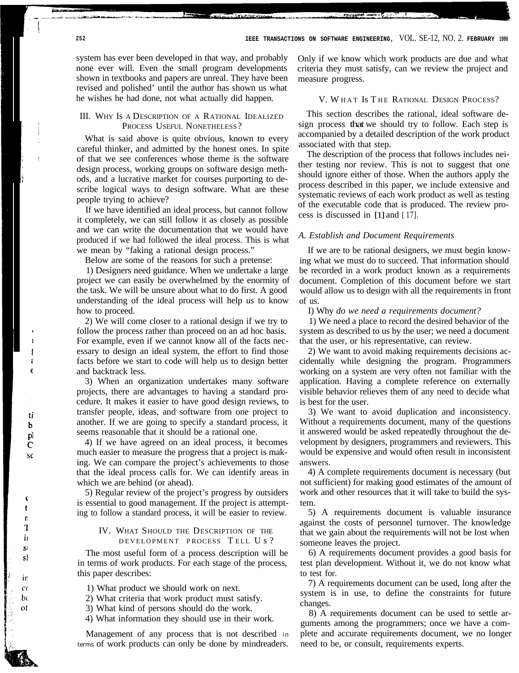system has ever been developed in that way, and probably none ever will. Even the small program developments shown in textbooks and papers are unreal. They have been revised and polished' until the author has shown us what he wishes he had done, not what actually did happen.

# III. WHY Is A DESCRIPTION OF A RATIONAL IDEALIZED PROCESS USEFUL NONETHELESS?

What is said above is quite obvious, known to every careful thinker, and admitted by the honest ones. In spite of that we see conferences whose theme is the software design process, working groups on software design methods, and a lucrative market for courses purporting to describe logical ways to design software. What are these people trying to achieve?

If we have identified an ideal process, but cannot follow it completely, we can still follow it as closely as possible and we can write the documentation that we would have produced if we had followed the ideal process. This is what we mean by "faking a rational design process."

Below are some of the reasons for such a pretense:

1) Designers need guidance. When we undertake a large project we can easily be overwhelmed by the enormity of the task. We will be unsure about what to do first. A good understanding of the ideal process will help us to know how to proceed.

2) We will come closer to a rational design if we try to follow the process rather than proceed on an ad hoc basis. For example, even if we cannot know all of the facts necessary to design an ideal system, the effort to find those facts before we start to code will help us to design better and backtrack less.

3) When an organization undertakes many software projects, there are advantages to having a standard procedure. It makes it easier to have good design reviews, to transfer people, ideas, and software from one project to another. If we are going to specify a standard process, it seems reasonable that it should be a rational one.

4) If we have agreed on an ideal process, it becomes much easier to measure the progress that a project is making. We can compare the project's achievements to those that the ideal process calls for. We can identify areas in which we are behind (or ahead).

5) Regular review of the project's progress by outsiders is essential to good management. If the project is attempting to follow a standard process, it will be easier to review.

## IV. WHAT SHOULD THE DESCRIPTION OF THE DEVELOPMENT PROCESS TELL US?

The most useful form of a process description will be in terms of work products. For each stage of the process, this paper describes:

1) What product we should work on next.

2) What criteria that work product must satisfy.

3) What kind of persons should do the work.

4) What information they should use in their work.

Management of any process that is not described in terms of work products can only be done by mindreaders. Only if we know which work products are due and what criteria they must satisfy, can we review the project and measure progress.

# V. WHAT IS THE RATIONAL DESIGN PROCESS?

This section describes the rational, ideal software design process thatwe should try to follow. Each step is accompanied by a detailed description of the work product associated with that step.

The description of the process that follows includes neither testing nor review. This is not to suggest that one should ignore either of those. When the authors apply the process described in this paper, we include extensive and systematic reviews of each work product as well as testing of the executable code that is produced. The review process is discussed in [1] and [ 17].

## *A. Establish and Document Requirements*

If we are to be rational designers, we must begin knowing what we must do to succeed. That information should be recorded in a work product known as a requirements document. Completion of this document before we start would allow us to design with all the requirements in front of us.

#### I) Why *do we need a requirements document?*

1) We need a place to record the desired behavior of the system as described to us by the user; we need a document that the user, or his representative, can review.

2) We want to avoid making requirements decisions accidentally while designing the program. Programmers working on a system are very often not familiar with the application. Having a complete reference on externally visible behavior relieves them of any need to decide what is best for the user.

3) We want to avoid duplication and inconsistency. Without a requirements document, many of the questions it answered would be asked repeatedly throughout the development by designers, programmers and reviewers. This would be expensive and would often result in inconsistent answers.

4) A complete requirements document is necessary (but not sufficient) for making good estimates of the amount of work and other resources that it will take to build the system.

5) A requirements document is valuable insurance against the costs of personnel turnover. The knowledge that we gain about the requirements will not be lost when someone leaves the project.

6) A requirements document provides a good basis for test plan development. Without it, we do not know what to test for.

7) A requirements document can be used, long after the system is in use, to define the constraints for future changes.

8) A requirements document can be used to settle arguments among the programmers; once we have a complete and accurate requirements document, we no longer need to be, or consult, requirements experts.

I ź É

ti. b pl  $\mathbf C$ sc

 $\epsilon$ t  $\mathbf{r}$ T iı.  $S($ sl

in  $\overline{c}$  $\mathbf{b}$ of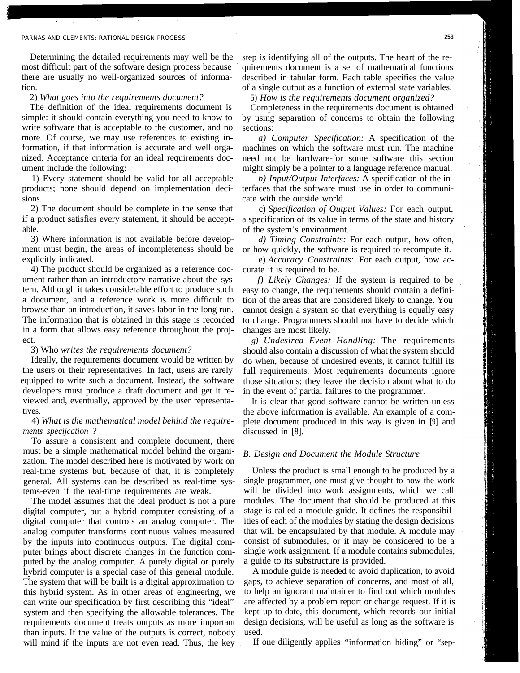Determining the detailed requirements may well be the most difficult part of the software design process because there are usually no well-organized sources of information.

2) *What goes into the requirements document?*

The definition of the ideal requirements document is simple: it should contain everything you need to know to write software that is acceptable to the customer, and no more. Of course, we may use references to existing information, if that information is accurate and well organized. Acceptance criteria for an ideal requirements document include the following:

1) Every statement should be valid for all acceptable products; none should depend on implementation decisions.

2) The document should be complete in the sense that if a product satisfies every statement, it should be acceptable.

3) Where information is not available before development must begin, the areas of incompleteness should be explicitly indicated.

4) The product should be organized as a reference document rather than an introductory narrative about the systern. Although it takes considerable effort to produce such a document, and a reference work is more difficult to browse than an introduction, it saves labor in the long run. The information that is obtained in this stage is recorded in a form that allows easy reference throughout the project.

## 3) Who *writes the requirements document?*

Ideally, the requirements document would be written by the users or their representatives. In fact, users are rarely equipped to write such a document. Instead, the software developers must produce a draft document and get it reviewed and, eventually, approved by the user representatives.

# 4) *What is the mathematical model behind the requirements specijcation ?*

To assure a consistent and complete document, there must be a simple mathematical model behind the organization. The model described here is motivated by work on real-time systems but, because of that, it is completely general. All systems can be described as real-time systems-even if the real-time requirements are weak.

The model assumes that the ideal product is not a pure digital computer, but a hybrid computer consisting of a digital computer that controls an analog computer. The analog computer transforms continuous values measured by the inputs into continuous outputs. The digital computer brings about discrete changes in the function computed by the analog computer. A purely digital or purely hybrid computer is a special case of this general module. The system that will be built is a digital approximation to this hybrid system. As in other areas of engineering, we can write our specification by first describing this "ideal" system and then specifying the allowable tolerances. The requirements document treats outputs as more important than inputs. If the value of the outputs is correct, nobody will mind if the inputs are not even read. Thus, the key

5) *How is the requirements document organized?*

Completeness in the requirements document is obtained by using separation of concerns to obtain the following sections:

*a) Computer Specification:* A specification of the machines on which the software must run. The machine need not be hardware-for some software this section might simply be a pointer to a language reference manual.

*b) Input/Output Interfaces:* A specification of the interfaces that the software must use in order to communicate with the outside world.

c) *Specification of Output Values:* For each output, a specification of its value in terms of the state and history of the system's environment.

*d) Timing Constraints:* For each output, how often, or how quickly, the software is required to recompute it.

e) *Accuracy Constraints:* For each output, how accurate it is required to be.

*f) Likely Changes:* If the system is required to be easy to change, the requirements should contain a definition of the areas that are considered likely to change. You cannot design a system so that everything is equally easy to change. Programmers should not have to decide which changes are most likely.

*g) Undesired Event Handling:* The requirements should also contain a discussion of what the system should do when, because of undesired events, it cannot fulfill its full requirements. Most requirements documents ignore those situations; they leave the decision about what to do in the event of partial failures to the programmer.

It is clear that good software cannot be written unless the above information is available. An example of a complete document produced in this way is given in [9] and discussed in [8].

### *B. Design and Document the Module Structure*

Unless the product is small enough to be produced by a single programmer, one must give thought to how the work will be divided into work assignments, which we call modules. The document that should be produced at this stage is called a module guide. It defines the responsibilities of each of the modules by stating the design decisions that will be encapsulated by that module. A module may consist of submodules, or it may be considered to be a single work assignment. If a module contains submodules, a guide to its substructure is provided.

A module guide is needed to avoid duplication, to avoid gaps, to achieve separation of concerns, and most of all, to help an ignorant maintainer to find out which modules are affected by a problem report or change request. If it is kept up-to-date, this document, which records our initial design decisions, will be useful as long as the software is used.

If one diligently applies "information hiding" or "sep-

オクアメディック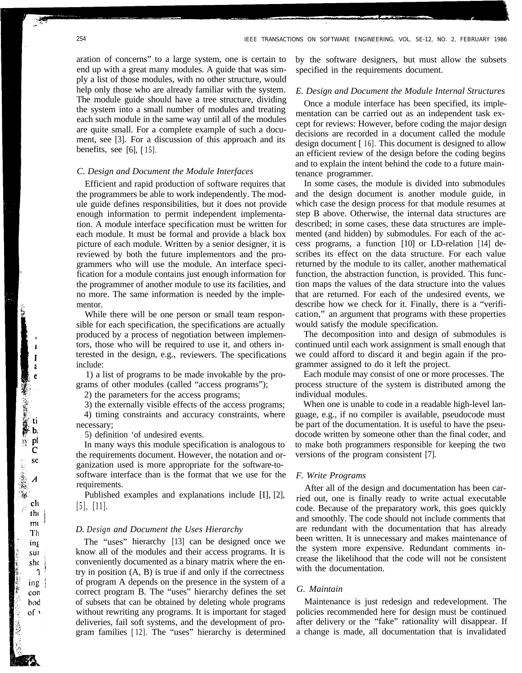aration of concerns" to a large system, one is certain to by the software designers, but must allow the subsets end up with a great many modules. A guide that was simply a list of those modules, with no other structure, would help only those who are already familiar with the system. The module guide should have a tree structure, dividing the system into a small number of modules and treating each such module in the same way until all of the modules are quite small. For a complete example of such a document, see [3]. For a discussion of this approach and its benefits, see [6], [ 15].

#### *C. Design and Document the Module Interfaces*

Efficient and rapid production of software requires that the programmers be able to work independently. The module guide defines responsibilities, but it does not provide enough information to permit independent implementation. A module interface specification must be written for each module. It must be formal and provide a black box picture of each module. Written by a senior designer, it is reviewed by both the future implementors and the programmers who will use the module. An interface specification for a module contains just enough information for the programmer of another module to use its facilities, and no more. The same information is needed by the implementor.

While there will be one person or small team responsible for each specification, the specifications are actually produced by a process of negotiation between implementors, those who will be required to use it, and others interested in the design, e.g., reviewers. The specifications include:

1) a list of programs to be made invokable by the programs of other modules (called "access programs");

2) the parameters for the access programs;

3) the externally visible effects of the access programs; 4) timing constraints and accuracy constraints, where necessary;

5) definition 'of undesired events.

 $\overline{C}$ se

 $ch$ the m Th inr sur sho  $\mathcal{L}$ ing con bod  $of<sup>t</sup>$ 

In many ways this module specification is analogous to the requirements document. However, the notation and organization used is more appropriate for the software-tosoftware interface than is the format that we use for the requirements.

Published examples and explanations include [I], [2], [5], [11].

#### *D. Design and Document the Uses Hierarchy*

The "uses" hierarchy [13] can be designed once we know all of the modules and their access programs. It is conveniently documented as a binary matrix where the entry in position (A, B) is true if and only if the correctness of program A depends on the presence in the system of a correct program B. The "uses" hierarchy defines the set of subsets that can be obtained by deleting whole programs without rewriting any programs. It is important for staged deliveries, fail soft systems, and the development of program families [ 12]. The "uses" hierarchy is determined specified in the requirements document.

## *E. Design and Document the Module Internal Structures*

Once a module interface has been specified, its implementation can be carried out as an independent task except for reviews: However, before coding the major design decisions are recorded in a document called the module design document [ 16]. This document is designed to allow an efficient review of the design before the coding begins and to explain the intent behind the code to a future maintenance programmer.

In some cases, the module is divided into submodules and the design document is another module guide, in which case the design process for that module resumes at step B above. Otherwise, the internal data structures are described; in some cases, these data structures are implemented (and hidden) by submodules. For each of the access programs, a function [10] or LD-relation [14] describes its effect on the data structure. For each value returned by the module to its caller, another mathematical function, the abstraction function, is provided. This function maps the values of the data structure into the values that are returned. For each of the undesired events, we describe how we check for it. Finally, there is a "verification," an argument that programs with these properties would satisfy the module specification.

The decomposition into and design of submodules is continued until each work assignment is small enough that we could afford to discard it and begin again if the programmer assigned to do it left the project.

Each module may consist of one or more processes. The process structure of the system is distributed among the individual modules.

When one is unable to code in a readable high-level language, e.g., if no compiler is available, pseudocode must be part of the documentation. It is useful to have the pseudocode written by someone other than the final coder, and to make both programmers responsible for keeping the two versions of the program consistent [7].

#### *F. Write Programs*

After all of the design and documentation has been carried out, one is finally ready to write actual executable code. Because of the preparatory work, this goes quickly and smoothly. The code should not include comments that are redundant with the documentation that has already been written. It is unnecessary and makes maintenance of the system more expensive. Redundant comments increase the likelihood that the code will not be consistent with the documentation.

#### *G. Maintain*

Maintenance is just redesign and redevelopment. The policies recommended here for design must be continued after delivery or the "fake" rationality will disappear. If a change is made, all documentation that is invalidated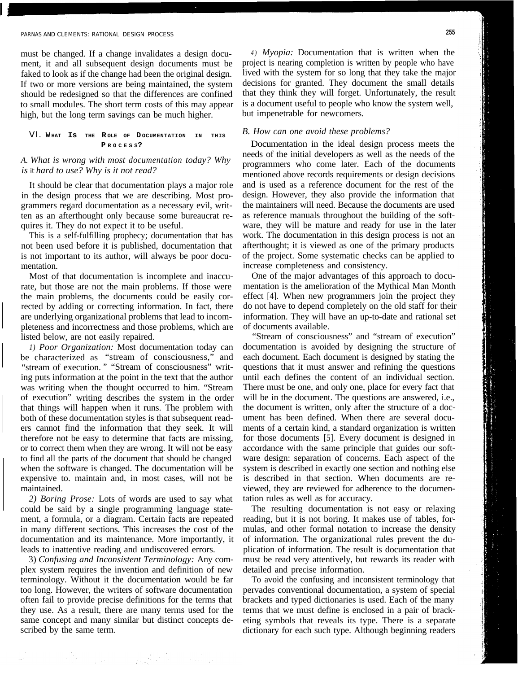#### PARNAS AND CLEMENTS: RATIONAL DESIGN PROCESS

must be changed. If a change invalidates a design document, it and all subsequent design documents must be faked to look as if the change had been the original design. If two or more versions are being maintained, the system should be redesigned so that the differences are confined to small modules. The short term costs of this may appear high, but the long term savings can be much higher.

## VI. **W HAT Is THE R OLE OF D OCUMENTATION IN THIS P ROCES S?**

# *A. What is wrong with most documentation today? Why is it hard to use? Why is it not read?*

It should be clear that documentation plays a major role in the design process that we are describing. Most programmers regard documentation as a necessary evil, written as an afterthought only because some bureaucrat requires it. They do not expect it to be useful.

This is a self-fulfilling prophecy; documentation that has not been used before it is published, documentation that is not important to its author, will always be poor documentation.

Most of that documentation is incomplete and inaccurate, but those are not the main problems. If those were the main problems, the documents could be easily corrected by adding or correcting information. In fact, there are underlying organizational problems that lead to incompleteness and incorrectness and those problems, which are listed below, are not easily repaired.

*1) Poor Organization:* Most documentation today can be characterized as "stream of consciousness," and "stream of execution. " "Stream of consciousness" writing puts information at the point in the text that the author was writing when the thought occurred to him. "Stream of execution" writing describes the system in the order that things will happen when it runs. The problem with both of these documentation styles is that subsequent readers cannot find the information that they seek. It will therefore not be easy to determine that facts are missing, or to correct them when they are wrong. It will not be easy to find all the parts of the document that should be changed when the software is changed. The documentation will be expensive to. maintain and, in most cases, will not be maintained.

*2) Boring Prose:* Lots of words are used to say what could be said by a single programming language statement, a formula, or a diagram. Certain facts are repeated in many different sections. This increases the cost of the documentation and its maintenance. More importantly, it leads to inattentive reading and undiscovered errors.

3) *Confusing and Inconsistent Terminology:* Any complex system requires the invention and definition of new terminology. Without it the documentation would be far too long. However, the writers of software documentation often fail to provide precise definitions for the terms that they use. As a result, there are many terms used for the same concept and many similar but distinct concepts described by the same term.

*4 ) Myopia:* Documentation that is written when the project is nearing completion is written by people who have lived with the system for so long that they take the major decisions for granted. They document the small details that they think they will forget. Unfortunately, the result is a document useful to people who know the system well, but impenetrable for newcomers.

## *B. How can one avoid these problems?*

Documentation in the ideal design process meets the needs of the initial developers as well as the needs of the programmers who come later. Each of the documents mentioned above records requirements or design decisions and is used as a reference document for the rest of the design. However, they also provide the information that the maintainers will need. Because the documents are used as reference manuals throughout the building of the software, they will be mature and ready for use in the later work. The documentation in this design process is not an afterthought; it is viewed as one of the primary products of the project. Some systematic checks can be applied to increase completeness and consistency.

One of the major advantages of this approach to documentation is the amelioration of the Mythical Man Month effect [4]. When new programmers join the project they do not have to depend completely on the old staff for their information. They will have an up-to-date and rational set of documents available.

"Stream of consciousness" and "stream of execution" documentation is avoided by designing the structure of each document. Each document is designed by stating the questions that it must answer and refining the questions until each defines the content of an individual section. There must be one, and only one, place for every fact that will be in the document. The questions are answered, i.e., the document is written, only after the structure of a document has been defined. When there are several documents of a certain kind, a standard organization is written for those documents [5]. Every document is designed in accordance with the same principle that guides our software design: separation of concerns. Each aspect of the system is described in exactly one section and nothing else is described in that section. When documents are reviewed, they are reviewed for adherence to the documentation rules as well as for accuracy.

The resulting documentation is not easy or relaxing reading, but it is not boring. It makes use of tables, formulas, and other formal notation to increase the density of information. The organizational rules prevent the duplication of information. The result is documentation that must be read very attentively, but rewards its reader with detailed and precise information.

To avoid the confusing and inconsistent terminology that pervades conventional documentation, a system of special brackets and typed dictionaries is used. Each of the many terms that we must define is enclosed in a pair of bracketing symbols that reveals its type. There is a separate dictionary for each such type. Although beginning readers